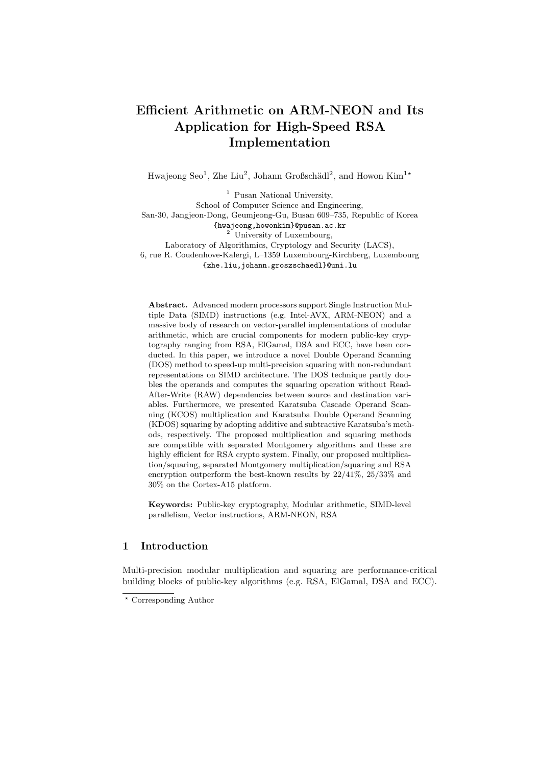# **Efficient Arithmetic on ARM-NEON and Its Application for High-Speed RSA Implementation**

Hwajeong Seo<sup>1</sup>, Zhe Liu<sup>2</sup>, Johann Großschädl<sup>2</sup>, and Howon Kim<sup>1</sup><sup>\*</sup>

<sup>1</sup> Pusan National University, School of Computer Science and Engineering, San-30, Jangjeon-Dong, Geumjeong-Gu, Busan 609–735, Republic of Korea {hwajeong,howonkim}@pusan.ac.kr <sup>2</sup> University of Luxembourg, Laboratory of Algorithmics, Cryptology and Security (LACS), 6, rue R. Coudenhove-Kalergi, L–1359 Luxembourg-Kirchberg, Luxembourg {zhe.liu,johann.groszschaedl}@uni.lu

**Abstract.** Advanced modern processors support Single Instruction Multiple Data (SIMD) instructions (e.g. Intel-AVX, ARM-NEON) and a massive body of research on vector-parallel implementations of modular arithmetic, which are crucial components for modern public-key cryptography ranging from RSA, ElGamal, DSA and ECC, have been conducted. In this paper, we introduce a novel Double Operand Scanning (DOS) method to speed-up multi-precision squaring with non-redundant representations on SIMD architecture. The DOS technique partly doubles the operands and computes the squaring operation without Read-After-Write (RAW) dependencies between source and destination variables. Furthermore, we presented Karatsuba Cascade Operand Scanning (KCOS) multiplication and Karatsuba Double Operand Scanning (KDOS) squaring by adopting additive and subtractive Karatsuba's methods, respectively. The proposed multiplication and squaring methods are compatible with separated Montgomery algorithms and these are highly efficient for RSA crypto system. Finally, our proposed multiplication/squaring, separated Montgomery multiplication/squaring and RSA encryption outperform the best-known results by 22/41%, 25/33% and 30% on the Cortex-A15 platform.

**Keywords:** Public-key cryptography, Modular arithmetic, SIMD-level parallelism, Vector instructions, ARM-NEON, RSA

## **1 Introduction**

Multi-precision modular multiplication and squaring are performance-critical building blocks of public-key algorithms (e.g. RSA, ElGamal, DSA and ECC).

*<sup>⋆</sup>* Corresponding Author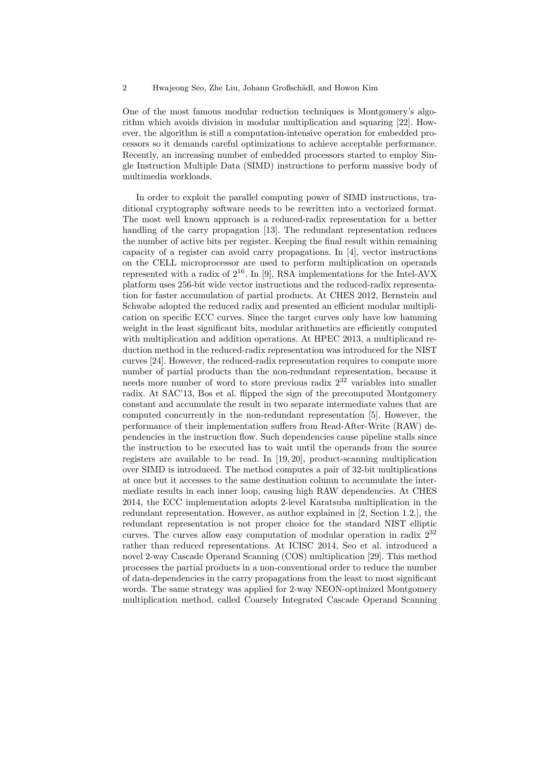One of the most famous modular reduction techniques is Montgomery's algorithm which avoids division in modular multiplication and squaring [22]. However, the algorithm is still a computation-intensive operation for embedded processors so it demands careful optimizations to achieve acceptable performance. Recently, an increasing number of embedded processors started to employ Single Instruction Multiple Data (SIMD) instructions to perform massive body of multimedia workloads.

In order to exploit the parallel computing power of SIMD instructions, traditional cryptography software needs to be rewritten into a vectorized format. The most well known approach is a reduced-radix representation for a better handling of the carry propagation [13]. The redundant representation reduces the number of active bits per register. Keeping the final result within remaining capacity of a register can avoid carry propagations. In [4], vector instructions on the CELL microprocessor are used to perform multiplication on operands represented with a radix of  $2^{16}$ . In [9], RSA implementations for the Intel-AVX platform uses 256-bit wide vector instructions and the reduced-radix representation for faster accumulation of partial products. At CHES 2012, Bernstein and Schwabe adopted the reduced radix and presented an efficient modular multiplication on specific ECC curves. Since the target curves only have low hamming weight in the least significant bits, modular arithmetics are efficiently computed with multiplication and addition operations. At HPEC 2013, a multiplicand reduction method in the reduced-radix representation was introduced for the NIST curves [24]. However, the reduced-radix representation requires to compute more number of partial products than the non-redundant representation, because it needs more number of word to store previous radix  $2^{32}$  variables into smaller radix. At SAC'13, Bos et al. flipped the sign of the precomputed Montgomery constant and accumulate the result in two separate intermediate values that are computed concurrently in the non-redundant representation [5]. However, the performance of their implementation suffers from Read-After-Write (RAW) dependencies in the instruction flow. Such dependencies cause pipeline stalls since the instruction to be executed has to wait until the operands from the source registers are available to be read. In [19, 20], product-scanning multiplication over SIMD is introduced. The method computes a pair of 32-bit multiplications at once but it accesses to the same destination column to accumulate the intermediate results in each inner loop, causing high RAW dependencies. At CHES 2014, the ECC implementation adopts 2-level Karatsuba multiplication in the redundant representation. However, as author explained in [2, Section 1.2.], the redundant representation is not proper choice for the standard NIST elliptic curves. The curves allow easy computation of modular operation in radix  $2^{32}$ rather than reduced representations. At ICISC 2014, Seo et al. introduced a novel 2-way Cascade Operand Scanning (COS) multiplication [29]. This method processes the partial products in a non-conventional order to reduce the number of data-dependencies in the carry propagations from the least to most significant words. The same strategy was applied for 2-way NEON-optimized Montgomery multiplication method, called Coarsely Integrated Cascade Operand Scanning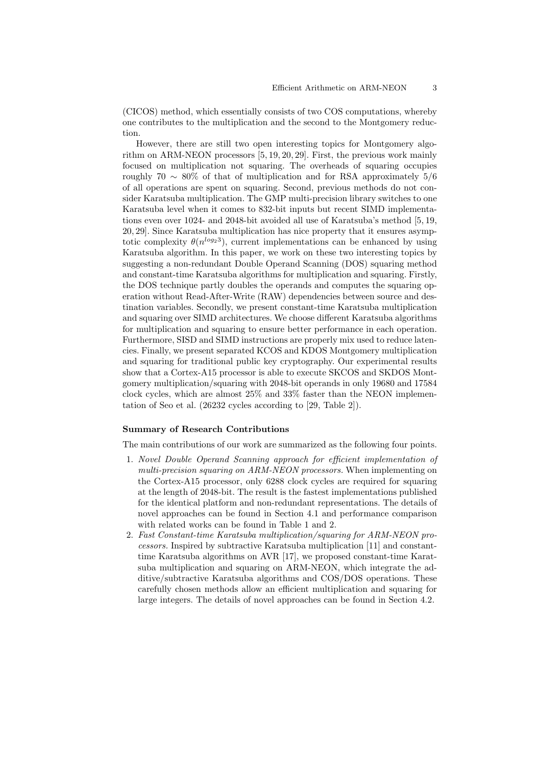(CICOS) method, which essentially consists of two COS computations, whereby one contributes to the multiplication and the second to the Montgomery reduction.

However, there are still two open interesting topics for Montgomery algorithm on ARM-NEON processors [5, 19, 20, 29]. First, the previous work mainly focused on multiplication not squaring. The overheads of squaring occupies roughly 70 *∼* 80% of that of multiplication and for RSA approximately 5/6 of all operations are spent on squaring. Second, previous methods do not consider Karatsuba multiplication. The GMP multi-precision library switches to one Karatsuba level when it comes to 832-bit inputs but recent SIMD implementations even over 1024- and 2048-bit avoided all use of Karatsuba's method [5, 19, 20, 29]. Since Karatsuba multiplication has nice property that it ensures asymptotic complexity  $\theta(n^{\log_2 3})$ , current implementations can be enhanced by using Karatsuba algorithm. In this paper, we work on these two interesting topics by suggesting a non-redundant Double Operand Scanning (DOS) squaring method and constant-time Karatsuba algorithms for multiplication and squaring. Firstly, the DOS technique partly doubles the operands and computes the squaring operation without Read-After-Write (RAW) dependencies between source and destination variables. Secondly, we present constant-time Karatsuba multiplication and squaring over SIMD architectures. We choose different Karatsuba algorithms for multiplication and squaring to ensure better performance in each operation. Furthermore, SISD and SIMD instructions are properly mix used to reduce latencies. Finally, we present separated KCOS and KDOS Montgomery multiplication and squaring for traditional public key cryptography. Our experimental results show that a Cortex-A15 processor is able to execute SKCOS and SKDOS Montgomery multiplication/squaring with 2048-bit operands in only 19680 and 17584 clock cycles, which are almost 25% and 33% faster than the NEON implementation of Seo et al. (26232 cycles according to [29, Table 2]).

#### **Summary of Research Contributions**

The main contributions of our work are summarized as the following four points.

- 1. *Novel Double Operand Scanning approach for efficient implementation of multi-precision squaring on ARM-NEON processors.* When implementing on the Cortex-A15 processor, only 6288 clock cycles are required for squaring at the length of 2048-bit. The result is the fastest implementations published for the identical platform and non-redundant representations. The details of novel approaches can be found in Section 4.1 and performance comparison with related works can be found in Table 1 and 2.
- 2. *Fast Constant-time Karatsuba multiplication/squaring for ARM-NEON processors.* Inspired by subtractive Karatsuba multiplication [11] and constanttime Karatsuba algorithms on AVR [17], we proposed constant-time Karatsuba multiplication and squaring on ARM-NEON, which integrate the additive/subtractive Karatsuba algorithms and COS/DOS operations. These carefully chosen methods allow an efficient multiplication and squaring for large integers. The details of novel approaches can be found in Section 4.2.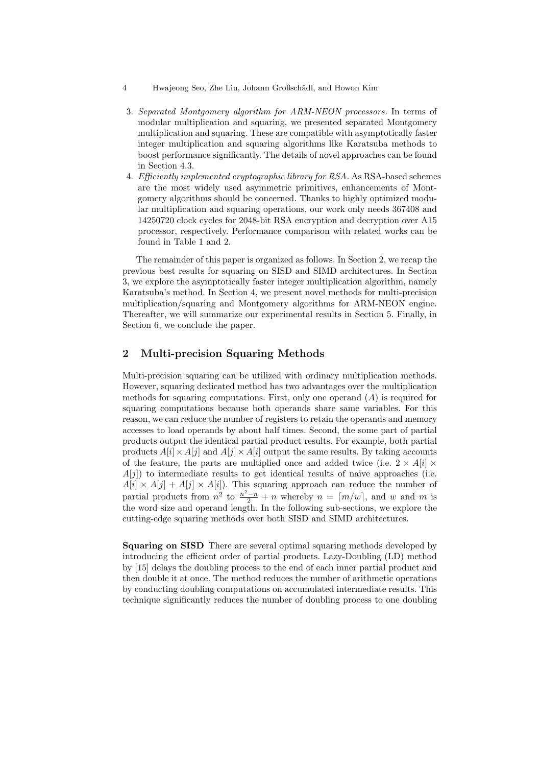- 4 Hwajeong Seo, Zhe Liu, Johann Großschädl, and Howon Kim
- 3. *Separated Montgomery algorithm for ARM-NEON processors.* In terms of modular multiplication and squaring, we presented separated Montgomery multiplication and squaring. These are compatible with asymptotically faster integer multiplication and squaring algorithms like Karatsuba methods to boost performance significantly. The details of novel approaches can be found in Section 4.3.
- 4. *Efficiently implemented cryptographic library for RSA.* As RSA-based schemes are the most widely used asymmetric primitives, enhancements of Montgomery algorithms should be concerned. Thanks to highly optimized modular multiplication and squaring operations, our work only needs 367408 and 14250720 clock cycles for 2048-bit RSA encryption and decryption over A15 processor, respectively. Performance comparison with related works can be found in Table 1 and 2.

The remainder of this paper is organized as follows. In Section 2, we recap the previous best results for squaring on SISD and SIMD architectures. In Section 3, we explore the asymptotically faster integer multiplication algorithm, namely Karatsuba's method. In Section 4, we present novel methods for multi-precision multiplication/squaring and Montgomery algorithms for ARM-NEON engine. Thereafter, we will summarize our experimental results in Section 5. Finally, in Section 6, we conclude the paper.

# **2 Multi-precision Squaring Methods**

Multi-precision squaring can be utilized with ordinary multiplication methods. However, squaring dedicated method has two advantages over the multiplication methods for squaring computations. First, only one operand (*A*) is required for squaring computations because both operands share same variables. For this reason, we can reduce the number of registers to retain the operands and memory accesses to load operands by about half times. Second, the some part of partial products output the identical partial product results. For example, both partial products  $A[i] \times A[j]$  and  $A[j] \times A[i]$  output the same results. By taking accounts of the feature, the parts are multiplied once and added twice (i.e.  $2 \times A[i] \times$ *A*[*j*]) to intermediate results to get identical results of naive approaches (i.e.  $A[i] \times A[j] + A[j] \times A[i]$ . This squaring approach can reduce the number of partial products from  $n^2$  to  $\frac{n^2-n}{2}+n$  whereby  $n = \lceil m/w \rceil$ , and w and m is the word size and operand length. In the following sub-sections, we explore the cutting-edge squaring methods over both SISD and SIMD architectures.

**Squaring on SISD** There are several optimal squaring methods developed by introducing the efficient order of partial products. Lazy-Doubling (LD) method by [15] delays the doubling process to the end of each inner partial product and then double it at once. The method reduces the number of arithmetic operations by conducting doubling computations on accumulated intermediate results. This technique significantly reduces the number of doubling process to one doubling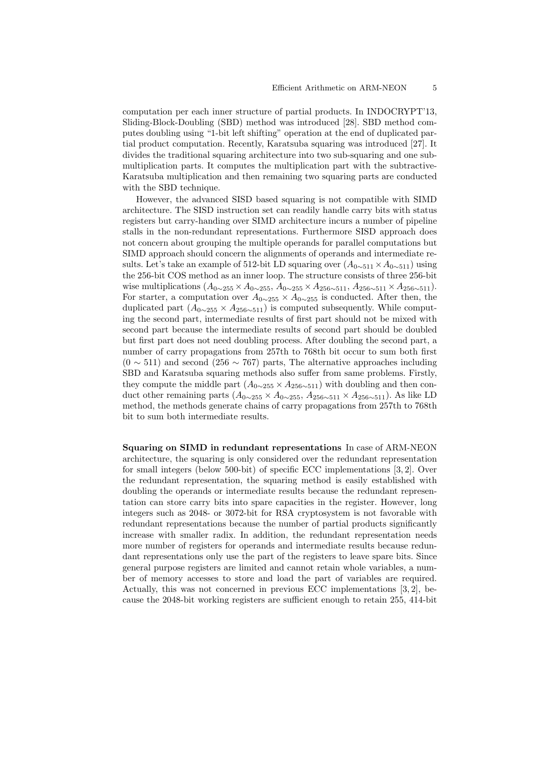computation per each inner structure of partial products. In INDOCRYPT'13, Sliding-Block-Doubling (SBD) method was introduced [28]. SBD method computes doubling using "1-bit left shifting" operation at the end of duplicated partial product computation. Recently, Karatsuba squaring was introduced [27]. It divides the traditional squaring architecture into two sub-squaring and one submultiplication parts. It computes the multiplication part with the subtractive-Karatsuba multiplication and then remaining two squaring parts are conducted with the SBD technique.

However, the advanced SISD based squaring is not compatible with SIMD architecture. The SISD instruction set can readily handle carry bits with status registers but carry-handing over SIMD architecture incurs a number of pipeline stalls in the non-redundant representations. Furthermore SISD approach does not concern about grouping the multiple operands for parallel computations but SIMD approach should concern the alignments of operands and intermediate results. Let's take an example of 512-bit LD squaring over  $(A_{0\sim511}\times A_{0\sim511})$  using the 256-bit COS method as an inner loop. The structure consists of three 256-bit wise multiplications  $(A_{0\sim 255} \times A_{0\sim 255}, A_{0\sim 255} \times A_{256\sim 511}, A_{256\sim 511} \times A_{256\sim 511}).$ For starter, a computation over  $A_{0\sim 255} \times A_{0\sim 255}$  is conducted. After then, the duplicated part  $(A_{0\sim 255} \times A_{256\sim 511})$  is computed subsequently. While computing the second part, intermediate results of first part should not be mixed with second part because the intermediate results of second part should be doubled but first part does not need doubling process. After doubling the second part, a number of carry propagations from 257th to 768th bit occur to sum both first (0 *∼* 511) and second (256 *∼* 767) parts, The alternative approaches including SBD and Karatsuba squaring methods also suffer from same problems. Firstly, they compute the middle part  $(A_{0\sim 255} \times A_{256\sim 511})$  with doubling and then conduct other remaining parts (*A*<sup>0</sup>*∼*<sup>255</sup> *× A*<sup>0</sup>*∼*<sup>255</sup>, *A*<sup>256</sup>*∼*<sup>511</sup> *× A*<sup>256</sup>*∼*<sup>511</sup>). As like LD method, the methods generate chains of carry propagations from 257th to 768th bit to sum both intermediate results.

**Squaring on SIMD in redundant representations** In case of ARM-NEON architecture, the squaring is only considered over the redundant representation for small integers (below 500-bit) of specific ECC implementations [3, 2]. Over the redundant representation, the squaring method is easily established with doubling the operands or intermediate results because the redundant representation can store carry bits into spare capacities in the register. However, long integers such as 2048- or 3072-bit for RSA cryptosystem is not favorable with redundant representations because the number of partial products significantly increase with smaller radix. In addition, the redundant representation needs more number of registers for operands and intermediate results because redundant representations only use the part of the registers to leave spare bits. Since general purpose registers are limited and cannot retain whole variables, a number of memory accesses to store and load the part of variables are required. Actually, this was not concerned in previous ECC implementations [3, 2], because the 2048-bit working registers are sufficient enough to retain 255, 414-bit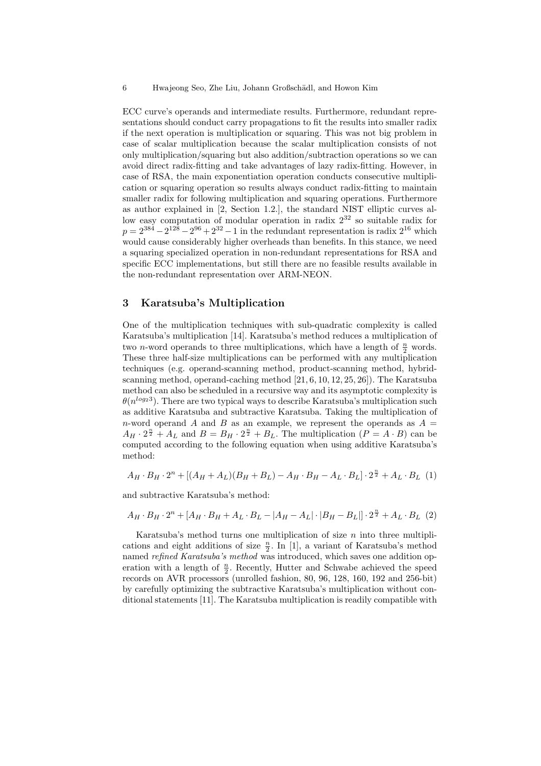ECC curve's operands and intermediate results. Furthermore, redundant representations should conduct carry propagations to fit the results into smaller radix if the next operation is multiplication or squaring. This was not big problem in case of scalar multiplication because the scalar multiplication consists of not only multiplication/squaring but also addition/subtraction operations so we can avoid direct radix-fitting and take advantages of lazy radix-fitting. However, in case of RSA, the main exponentiation operation conducts consecutive multiplication or squaring operation so results always conduct radix-fitting to maintain smaller radix for following multiplication and squaring operations. Furthermore as author explained in [2, Section 1.2.], the standard NIST elliptic curves allow easy computation of modular operation in radix  $2^{32}$  so suitable radix for  $p = 2^{384} - 2^{128} - 2^{96} + 2^{32} - 1$  in the redundant representation is radix  $2^{16}$  which would cause considerably higher overheads than benefits. In this stance, we need a squaring specialized operation in non-redundant representations for RSA and specific ECC implementations, but still there are no feasible results available in the non-redundant representation over ARM-NEON.

## **3 Karatsuba's Multiplication**

One of the multiplication techniques with sub-quadratic complexity is called Karatsuba's multiplication [14]. Karatsuba's method reduces a multiplication of two *n*-word operands to three multiplications, which have a length of  $\frac{n}{2}$  words. These three half-size multiplications can be performed with any multiplication techniques (e.g. operand-scanning method, product-scanning method, hybridscanning method, operand-caching method [21, 6, 10, 12, 25, 26]). The Karatsuba method can also be scheduled in a recursive way and its asymptotic complexity is  $\theta(n^{\log_2 3})$ . There are two typical ways to describe Karatsuba's multiplication such as additive Karatsuba and subtractive Karatsuba. Taking the multiplication of *n*-word operand *A* and *B* as an example, we represent the operands as  $A =$  $A_H \cdot 2^{\frac{n}{2}} + A_L$  and  $B = B_H \cdot 2^{\frac{n}{2}} + B_L$ . The multiplication  $(P = A \cdot B)$  can be computed according to the following equation when using additive Karatsuba's method:

$$
A_H \cdot B_H \cdot 2^n + [(A_H + A_L)(B_H + B_L) - A_H \cdot B_H - A_L \cdot B_L] \cdot 2^{\frac{n}{2}} + A_L \cdot B_L
$$
 (1)

and subtractive Karatsuba's method:

$$
A_H \cdot B_H \cdot 2^n + [A_H \cdot B_H + A_L \cdot B_L - |A_H - A_L| \cdot |B_H - B_L|] \cdot 2^{\frac{n}{2}} + A_L \cdot B_L
$$
 (2)

Karatsuba's method turns one multiplication of size *n* into three multiplications and eight additions of size  $\frac{n}{2}$ . In [1], a variant of Karatsuba's method named *refined Karatsuba's method* was introduced, which saves one addition operation with a length of  $\frac{n}{2}$ . Recently, Hutter and Schwabe achieved the speed records on AVR processors (unrolled fashion, 80, 96, 128, 160, 192 and 256-bit) by carefully optimizing the subtractive Karatsuba's multiplication without conditional statements [11]. The Karatsuba multiplication is readily compatible with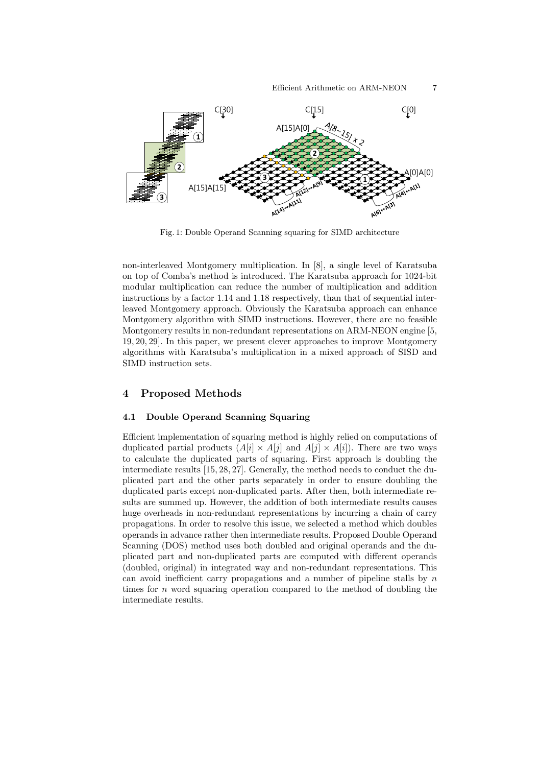

Fig. 1: Double Operand Scanning squaring for SIMD architecture

non-interleaved Montgomery multiplication. In [8], a single level of Karatsuba on top of Comba's method is introduced. The Karatsuba approach for 1024-bit modular multiplication can reduce the number of multiplication and addition instructions by a factor 1.14 and 1.18 respectively, than that of sequential interleaved Montgomery approach. Obviously the Karatsuba approach can enhance Montgomery algorithm with SIMD instructions. However, there are no feasible Montgomery results in non-redundant representations on ARM-NEON engine [5, 19, 20, 29]. In this paper, we present clever approaches to improve Montgomery algorithms with Karatsuba's multiplication in a mixed approach of SISD and SIMD instruction sets.

## **4 Proposed Methods**

#### **4.1 Double Operand Scanning Squaring**

Efficient implementation of squaring method is highly relied on computations of duplicated partial products  $(A[i] \times A[j])$  and  $A[j] \times A[i])$ . There are two ways to calculate the duplicated parts of squaring. First approach is doubling the intermediate results [15, 28, 27]. Generally, the method needs to conduct the duplicated part and the other parts separately in order to ensure doubling the duplicated parts except non-duplicated parts. After then, both intermediate results are summed up. However, the addition of both intermediate results causes huge overheads in non-redundant representations by incurring a chain of carry propagations. In order to resolve this issue, we selected a method which doubles operands in advance rather then intermediate results. Proposed Double Operand Scanning (DOS) method uses both doubled and original operands and the duplicated part and non-duplicated parts are computed with different operands (doubled, original) in integrated way and non-redundant representations. This can avoid inefficient carry propagations and a number of pipeline stalls by *n* times for *n* word squaring operation compared to the method of doubling the intermediate results.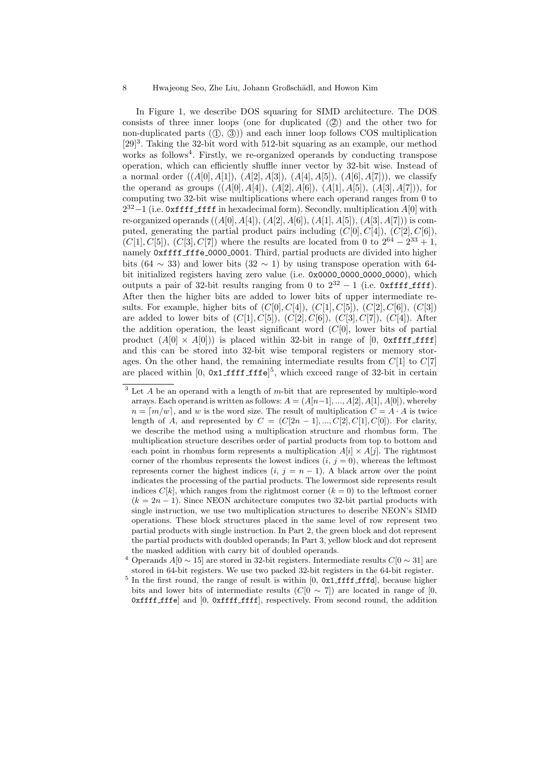In Figure 1, we describe DOS squaring for SIMD architecture. The DOS consists of three inner loops (one for duplicated  $(2)$ ) and the other two for non-duplicated parts  $(1, 3)$ ) and each inner loop follows COS multiplication  $[29]$ <sup>3</sup>. Taking the 32-bit word with 512-bit squaring as an example, our method works as follows<sup>4</sup>. Firstly, we re-organized operands by conducting transpose operation, which can efficiently shuffle inner vector by 32-bit wise. Instead of a normal order  $((A[0], A[1]), (A[2], A[3]), (A[4], A[5]), (A[6], A[7]))$ , we classify the operand as groups  $((A[0], A[4]), (A[2], A[6]), (A[1], A[5]), (A[3], A[7]))$ , for computing two 32-bit wise multiplications where each operand ranges from 0 to 2<sup>32</sup> −1 (i.e. 0xffff\_ffff in hexadecimal form). Secondly, multiplication *A*[0] with re-organized operands ((*A*[0]*, A*[4])*,* (*A*[2]*, A*[6])*,* (*A*[1]*, A*[5])*,* (*A*[3]*, A*[7])) is computed, generating the partial product pairs including  $(C[0], C[4])$ ,  $(C[2], C[6])$ *,*  $(C[1], C[5])$ ,  $(C[3], C[7])$  where the results are located from 0 to  $2^{64} - 2^{33} + 1$ , namely Oxffff fffe 0000 0001. Third, partial products are divided into higher bits (64  $\sim$  33) and lower bits (32  $\sim$  1) by using transpose operation with 64bit initialized registers having zero value (i.e. 0x0000 0000 0000 0000), which outputs a pair of 32-bit results ranging from 0 to  $2^{32} - 1$  (i.e. 0xffff ffff). After then the higher bits are added to lower bits of upper intermediate results. For example, higher bits of  $(C[0], C[4])$ ,  $(C[1], C[5])$ ,  $(C[2], C[6])$ ,  $(C[3])$ are added to lower bits of  $(C|1], C|5$ )*,*  $(C|2], C|6$ )*,*  $(C|3], C|7$ )*,*  $(C|4)$ . After the addition operation, the least significant word  $(C[0],$  lower bits of partial product  $(A[0] \times A[0])$  is placed within 32-bit in range of [0, 0xffff ffff] and this can be stored into 32-bit wise temporal registers or memory storages. On the other hand, the remaining intermediate results from  $C[1]$  to  $C[7]$ are placed within  $[0, 0x1 \text{ iff } f \text{ if } e]^5$ , which exceed range of 32-bit in certain

<sup>3</sup> Let *A* be an operand with a length of *m*-bit that are represented by multiple-word arrays. Each operand is written as follows:  $A = (A[n-1], ..., A[2], A[1], A[0])$ , whereby  $n = \lceil m/w \rceil$ , and *w* is the word size. The result of multiplication  $C = A \cdot A$  is twice length of *A*, and represented by  $C = (C[2n-1], ..., C[2], C[1], C[0])$ . For clarity, we describe the method using a multiplication structure and rhombus form. The multiplication structure describes order of partial products from top to bottom and each point in rhombus form represents a multiplication  $A[i] \times A[j]$ . The rightmost corner of the rhombus represents the lowest indices  $(i, j = 0)$ , whereas the leftmost represents corner the highest indices  $(i, j = n - 1)$ . A black arrow over the point indicates the processing of the partial products. The lowermost side represents result indices  $C[k]$ , which ranges from the rightmost corner  $(k = 0)$  to the leftmost corner  $(k = 2n - 1)$ . Since NEON architecture computes two 32-bit partial products with single instruction, we use two multiplication structures to describe NEON's SIMD operations. These block structures placed in the same level of row represent two partial products with single instruction. In Part 2, the green block and dot represent the partial products with doubled operands; In Part 3, yellow block and dot represent the masked addition with carry bit of doubled operands.

<sup>4</sup> Operands *A*[0 *∼* 15] are stored in 32-bit registers. Intermediate results *C*[0 *∼* 31] are stored in 64-bit registers. We use two packed 32-bit registers in the 64-bit register.

 $5$  In the first round, the range of result is within  $[0, 0x1 \text{ iff } f \text{ iff } d]$ , because higher bits and lower bits of intermediate results  $(C[0 \sim 7])$  are located in range of [0, 0xffff fffe] and [0, 0xffff ffff], respectively. From second round, the addition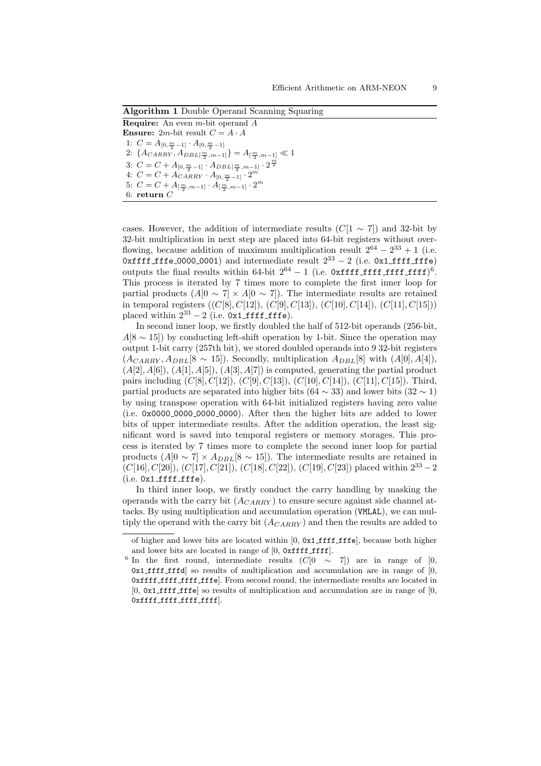**Algorithm 1** Double Operand Scanning Squaring **Require:** An even *m*-bit operand *A* **Ensure:** 2*m*-bit result  $C = A \cdot A$ 1:  $C = A_{[0, \frac{m}{2} - 1]} \cdot A_{[0, \frac{m}{2} - 1]}$ 2:  $\{A_{CARRY}, A_{DBL[\frac{m}{2}, m-1]}\} = A_{[\frac{m}{2}, m-1]} \ll 1$ 3:  $C = C + A_{[0, \frac{m}{2} - 1]} \cdot A_{DBL[\frac{m}{2}, m-1]} \cdot 2^{\frac{m}{2}}$ 4:  $C = C + A_{CARRY} \cdot A_{[0, \frac{m}{2} - 1]} \cdot 2^m$ 5:  $C = C + A_{\left[\frac{m}{2}, m-1\right]} \cdot A_{\left[\frac{m}{2}, m-1\right]} \cdot 2^m$ 6: **return** *C*

cases. However, the addition of intermediate results  $(C[1 \sim 7])$  and 32-bit by 32-bit multiplication in next step are placed into 64-bit registers without overflowing, because addition of maximum multiplication result  $2^{64} - 2^{33} + 1$  (i.e. 0xffff fffe 0000 0001) and intermediate result 2<sup>33</sup> *−* 2 (i.e. 0x1 ffff fffe) outputs the final results within  $64$ -bit  $2^{64} - 1$  (i.e. 0xffff ffff ffff ffff)<sup>6</sup>. This process is iterated by 7 times more to complete the first inner loop for partial products  $(A[0 \sim 7] \times A[0 \sim 7])$ . The intermediate results are retained in temporal registers ((*C*[8]*, C*[12])*,* (*C*[9]*, C*[13])*,* (*C*[10]*, C*[14])*,* (*C*[11]*, C*[15])) placed within  $2^{33} - 2$  (i.e.  $0x1$  ffff fffe).

In second inner loop, we firstly doubled the half of 512-bit operands (256-bit, *A*[8 ∼ 15]) by conducting left-shift operation by 1-bit. Since the operation may output 1-bit carry (257th bit), we stored doubled operands into 9 32-bit registers  $(A_{CARRY}, A_{DBL}[8 \sim 15])$ . Secondly, multiplication  $A_{DBL}[8]$  with  $(A[0], A[4])$ ,  $(A[2], A[6]), (A[1], A[5]), (A[3], A[7])$  is computed, generating the partial product pairs including (*C*[8]*, C*[12])*,* (*C*[9]*, C*[13])*,* (*C*[10]*, C*[14])*,* (*C*[11]*, C*[15]). Third, partial products are separated into higher bits  $(64 \sim 33)$  and lower bits  $(32 \sim 1)$ by using transpose operation with 64-bit initialized registers having zero value (i.e. 0x0000 0000 0000 0000). After then the higher bits are added to lower bits of upper intermediate results. After the addition operation, the least significant word is saved into temporal registers or memory storages. This process is iterated by 7 times more to complete the second inner loop for partial products  $(A[0 \sim 7] \times A_{DBL}[8 \sim 15])$ . The intermediate results are retained in (*C*[16]*, C*[20])*,* (*C*[17]*, C*[21])*,* (*C*[18]*, C*[22])*,* (*C*[19]*, C*[23]) placed within 2<sup>33</sup> *−*2  $(i.e. 0x1_fffff_fff)$ .

In third inner loop, we firstly conduct the carry handling by masking the operands with the carry bit (*ACARRY* ) to ensure secure against side channel attacks. By using multiplication and accumulation operation (VMLAL), we can multiply the operand with the carry bit (*ACARRY* ) and then the results are added to

of higher and lower bits are located within  $[0, 0x1 \text{ iff } \text{iff}$ , because both higher and lower bits are located in range of  $[0, 0$ xffff ffff.

<sup>&</sup>lt;sup>6</sup> In the first round, intermediate results  $(C[0 \sim 7])$  are in range of [0,  $0x1$  fiff fifd so results of multiplication and accumulation are in range of  $[0,$ 0xffff ffff ffff fffe]. From second round, the intermediate results are located in  $[0, 0x1$ **ffff** fifted so results of multiplication and accumulation are in range of  $[0, 0, 0]$ 0xffff\_ffff\_ffff\_ffff].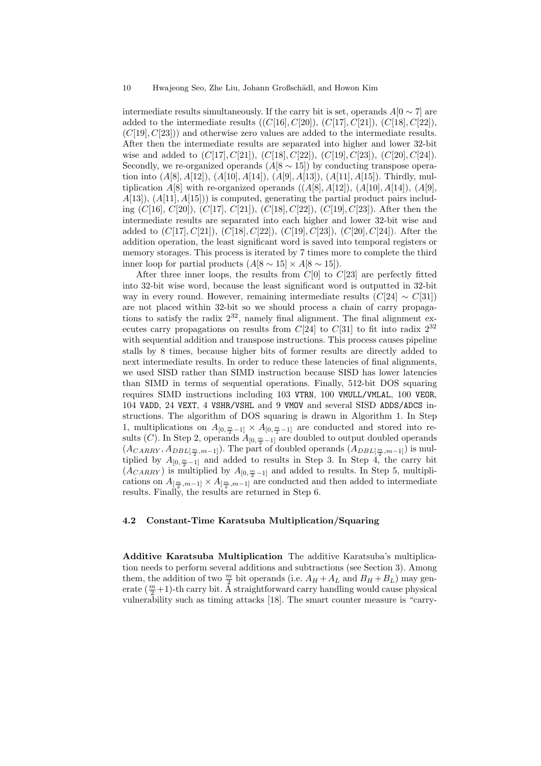intermediate results simultaneously. If the carry bit is set, operands  $A[0 \sim 7]$  are added to the intermediate results  $((C|16], C|20])$ *,*  $(C|17], C|21]$ *)*,  $(C|18], C|22]$ *)*, (*C*[19]*, C*[23])) and otherwise zero values are added to the intermediate results. After then the intermediate results are separated into higher and lower 32-bit wise and added to (*C*[17]*, C*[21])*,* (*C*[18]*, C*[22])*,* (*C*[19]*, C*[23])*,* (*C*[20]*, C*[24]). Secondly, we re-organized operands  $(A[8 \sim 15])$  by conducting transpose operation into (*A*[8]*, A*[12])*,* (*A*[10]*, A*[14])*,* (*A*[9]*, A*[13])*,* (*A*[11]*, A*[15]). Thirdly, multiplication  $A[8]$  with re-organized operands  $((A[8], A[12]), (A[10], A[14]), (A[9], A[16])$ *A*[13])*,* (*A*[11]*, A*[15])) is computed, generating the partial product pairs including (*C*[16]*, C*[20])*,* (*C*[17]*, C*[21])*,* (*C*[18]*, C*[22])*,* (*C*[19]*, C*[23]). After then the intermediate results are separated into each higher and lower 32-bit wise and added to (*C*[17]*, C*[21])*,* (*C*[18]*, C*[22])*,* (*C*[19]*, C*[23])*,* (*C*[20]*, C*[24]). After the addition operation, the least significant word is saved into temporal registers or memory storages. This process is iterated by 7 times more to complete the third inner loop for partial products  $(A[8 \sim 15] \times A[8 \sim 15])$ .

After three inner loops, the results from *C*[0] to *C*[23] are perfectly fitted into 32-bit wise word, because the least significant word is outputted in 32-bit way in every round. However, remaining intermediate results  $(C[24] \sim C[31])$ are not placed within 32-bit so we should process a chain of carry propagations to satisfy the radix  $2^{32}$ , namely final alignment. The final alignment executes carry propagations on results from  $C[24]$  to  $C[31]$  to fit into radix  $2^{32}$ with sequential addition and transpose instructions. This process causes pipeline stalls by 8 times, because higher bits of former results are directly added to next intermediate results. In order to reduce these latencies of final alignments, we used SISD rather than SIMD instruction because SISD has lower latencies than SIMD in terms of sequential operations. Finally, 512-bit DOS squaring requires SIMD instructions including 103 VTRN, 100 VMULL/VMLAL, 100 VEOR, 104 VADD, 24 VEXT, 4 VSHR/VSHL and 9 VMOV and several SISD ADDS/ADCS instructions. The algorithm of DOS squaring is drawn in Algorithm 1. In Step 1, multiplications on  $A_{[0, \frac{m}{2}-1]} \times A_{[0, \frac{m}{2}-1]}$  are conducted and stored into results (*C*). In Step 2, operands  $A_{[0, \frac{m}{2}-1]}$  are doubled to output doubled operands  $(A_{CARRY}, A_{DBL[\frac{m}{2}, m-1]})$ . The part of doubled operands  $(A_{DBL[\frac{m}{2}, m-1]})$  is multiplied by  $A_{[0, \frac{m}{2}-1]}$  and added to results in Step 3. In Step 4, the carry bit  $(A_{CARRY})$  is multiplied by  $A_{[0, \frac{m}{2}-1]}$  and added to results. In Step 5, multiplications on  $A_{[\frac{m}{2},m-1]} \times A_{[\frac{m}{2},m-1]}$  are conducted and then added to intermediate results. Finally, the results are returned in Step 6.

#### **4.2 Constant-Time Karatsuba Multiplication/Squaring**

**Additive Karatsuba Multiplication** The additive Karatsuba's multiplication needs to perform several additions and subtractions (see Section 3). Among them, the addition of two  $\frac{m}{2}$  bit operands (i.e.  $A_H + A_L$  and  $B_H + B_L$ ) may generate  $(\frac{m}{2}+1)$ -th carry bit. A straightforward carry handling would cause physical vulnerability such as timing attacks [18]. The smart counter measure is "carry-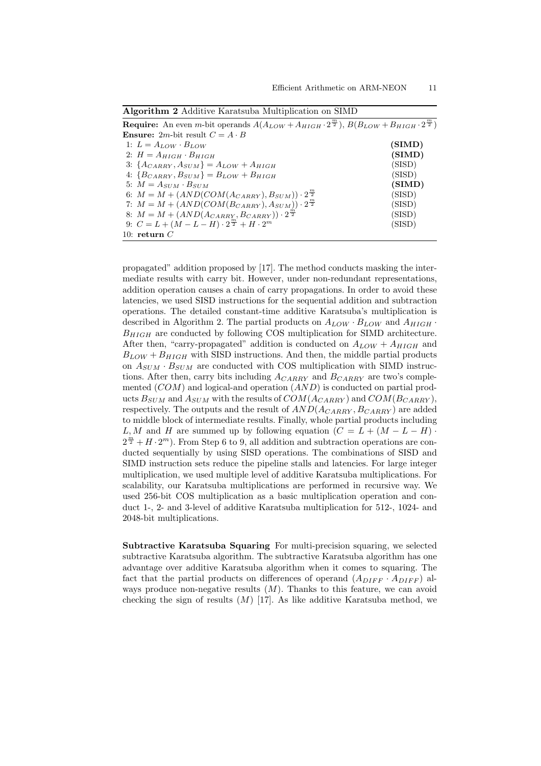| <b>Require:</b> An even <i>m</i> -bit operands $A(A_{LOW} + A_{HIGH} \cdot 2^{\frac{m}{2}}), B(B_{LOW} + B_{HIGH} \cdot 2^{\frac{m}{2}})$ |        |
|-------------------------------------------------------------------------------------------------------------------------------------------|--------|
| <b>Ensure:</b> 2 <i>m</i> -bit result $C = A \cdot B$                                                                                     |        |
| 1: $L = A_{LOW} \cdot B_{LOW}$                                                                                                            | (SIMD) |
| 2: $H = A_{HIGH} \cdot B_{HIGH}$                                                                                                          | (SIMD) |
| 3: $\{A_{CARRY}, A_{SUM}\}=A_{LOW}+A_{HIGH}$                                                                                              | (SISD) |
| 4: ${B_{CARRY}, B_{SUM}} = B_{LOW} + B_{HIGH}$                                                                                            | (SISD) |
| 5: $M = A_{SUM} \cdot B_{SUM}$                                                                                                            | (SIMD) |
| 6: $M = M + (AND(COM(A_{CARR}), B_{SUM})) \cdot 2^{\frac{m}{2}}$                                                                          | (SISD) |
| 7: $M = M + (AND(COM(B_{CARRY}), A_{SUM})) \cdot 2^{\frac{m}{2}}$                                                                         | (SISD) |
| 8: $M = M + (AND(A_{CARRY}, B_{CARRY})) \cdot 2^{\frac{m}{2}}$                                                                            | (SISD) |
| 9: $C = L + (M - L - H) \cdot 2^{\frac{m}{2}} + H \cdot 2^m$                                                                              | (SISD) |
| 10: return $C$                                                                                                                            |        |

**Algorithm 2** Additive Karatsuba Multiplication on SIMD

propagated" addition proposed by [17]. The method conducts masking the intermediate results with carry bit. However, under non-redundant representations, addition operation causes a chain of carry propagations. In order to avoid these latencies, we used SISD instructions for the sequential addition and subtraction operations. The detailed constant-time additive Karatsuba's multiplication is described in Algorithm 2. The partial products on  $A_{LOW} \cdot B_{LOW}$  and  $A_{HIGH} \cdot$ *BHIGH* are conducted by following COS multiplication for SIMD architecture. After then, "carry-propagated" addition is conducted on  $A_{LOW} + A_{HIGH}$  and  $B_{LOW} + B_{HIGH}$  with SISD instructions. And then, the middle partial products on  $A_{SUM} \cdot B_{SUM}$  are conducted with COS multiplication with SIMD instructions. After then, carry bits including *ACARRY* and *BCARRY* are two's complemented (*COM*) and logical-and operation (*AND*) is conducted on partial products  $B_{SUM}$  and  $A_{SUM}$  with the results of  $COM(A_{CARR}$  and  $COM(B_{CARR}$ , respectively. The outputs and the result of *AND*(*ACARRY , BCARRY* ) are added to middle block of intermediate results. Finally, whole partial products including  $L, M$  and *H* are summed up by following equation ( $C = L + (M - L - H)$ )  $2^{\frac{m}{2}} + H \cdot 2^m$ ). From Step 6 to 9, all addition and subtraction operations are conducted sequentially by using SISD operations. The combinations of SISD and SIMD instruction sets reduce the pipeline stalls and latencies. For large integer multiplication, we used multiple level of additive Karatsuba multiplications. For scalability, our Karatsuba multiplications are performed in recursive way. We used 256-bit COS multiplication as a basic multiplication operation and conduct 1-, 2- and 3-level of additive Karatsuba multiplication for 512-, 1024- and 2048-bit multiplications.

**Subtractive Karatsuba Squaring** For multi-precision squaring, we selected subtractive Karatsuba algorithm. The subtractive Karatsuba algorithm has one advantage over additive Karatsuba algorithm when it comes to squaring. The fact that the partial products on differences of operand  $(A_{DIFF} \cdot A_{DIFF})$  always produce non-negative results (*M*). Thanks to this feature, we can avoid checking the sign of results  $(M)$  [17]. As like additive Karatsuba method, we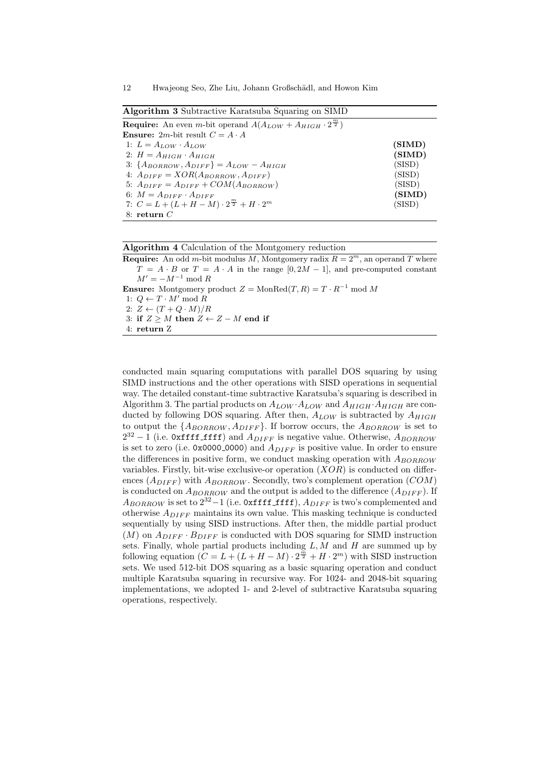12 Hwajeong Seo, Zhe Liu, Johann Großschädl, and Howon Kim

| <b>Algorithm 3</b> Subtractive Karatsuba Squaring on SIMD                           |        |  |  |  |
|-------------------------------------------------------------------------------------|--------|--|--|--|
| <b>Require:</b> An even m-bit operand $A(A_{LOW} + A_{HIGH} \cdot 2^{\frac{m}{2}})$ |        |  |  |  |
| <b>Ensure:</b> 2 <i>m</i> -bit result $C = A \cdot A$                               |        |  |  |  |
| 1: $L = A_{LOW} \cdot A_{LOW}$                                                      | (SIMD) |  |  |  |
| 2: $H = A_{HIGH} \cdot A_{HIGH}$                                                    | (SIMD) |  |  |  |
| 3: $\{A_{BORROW}, A_{DIFF}\}=A_{LOW}-A_{HIGH}$                                      | (SISD) |  |  |  |
| 4: $A_{DIFF} = XOR(A_{BORROW}, A_{DIFF})$                                           | (SISD) |  |  |  |
| 5: $A_{DIFF} = A_{DIFF} + COM(A_{BORROW})$                                          | (SISD) |  |  |  |
| 6: $M = A_{DIFF} \cdot A_{DIFF}$                                                    | (SIMD) |  |  |  |
| 7: $C = L + (L + H - M) \cdot 2^{\frac{m}{2}} + H \cdot 2^m$<br>(SISD)              |        |  |  |  |
| 8: return $C$                                                                       |        |  |  |  |

|  |  | Algorithm 4 Calculation of the Montgomery reduction |  |  |  |  |  |
|--|--|-----------------------------------------------------|--|--|--|--|--|
|--|--|-----------------------------------------------------|--|--|--|--|--|

**Require:** An odd *m*-bit modulus *M*, Montgomery radix  $R = 2^m$ , an operand *T* where  $T = A \cdot B$  or  $T = A \cdot A$  in the range  $[0, 2M - 1]$ , and pre-computed constant *M*<sup> $′$ </sup> = *−M*<sup> $−1$ </sup> mod *R* **Ensure:** Montgomery product  $Z = \text{MonRed}(T, R) = T \cdot R^{-1} \text{ mod } M$ 1:  $Q \leftarrow T \cdot M' \mod R$  $2: Z \leftarrow (T + Q \cdot M)/R$ 3: **if**  $Z \geq M$  **then**  $Z \leftarrow Z - M$  **end if** 4: **return** Z

conducted main squaring computations with parallel DOS squaring by using SIMD instructions and the other operations with SISD operations in sequential way. The detailed constant-time subtractive Karatsuba's squaring is described in Algorithm 3. The partial products on  $A_{LOW} \cdot A_{LOW}$  and  $A_{HIGH} \cdot A_{HIGH}$  are conducted by following DOS squaring. After then, *ALOW* is subtracted by *AHIGH* to output the  $\{A_{BORROW}, A_{DIFF}\}$ . If borrow occurs, the  $A_{BORROW}$  is set to 2<sup>32</sup> − 1 (i.e. 0xffff ffff) and  $A_{DIFF}$  is negative value. Otherwise,  $A_{BORROW}$ is set to zero (i.e. 0x0000<sub>-0000</sub>) and  $A_{DIFF}$  is positive value. In order to ensure the differences in positive form, we conduct masking operation with *ABORROW* variables. Firstly, bit-wise exclusive-or operation (*XOR*) is conducted on differences (*ADIF F* ) with *ABORROW* . Secondly, two's complement operation (*COM*) is conducted on  $A_{BORROW}$  and the output is added to the difference  $(A_{DIFF})$ . If  $A_{BORROW}$  is set to  $2^{32}-1$  (i.e. 0xffff ffff),  $A_{DIFF}$  is two's complemented and otherwise *ADIF F* maintains its own value. This masking technique is conducted sequentially by using SISD instructions. After then, the middle partial product  $(M)$  on  $A_{DIFF} \cdot B_{DIFF}$  is conducted with DOS squaring for SIMD instruction sets. Finally, whole partial products including *L, M* and *H* are summed up by following equation  $(C = L + (L + H - M) \cdot 2^{\frac{m}{2}} + H \cdot 2^m)$  with SISD instruction sets. We used 512-bit DOS squaring as a basic squaring operation and conduct multiple Karatsuba squaring in recursive way. For 1024- and 2048-bit squaring implementations, we adopted 1- and 2-level of subtractive Karatsuba squaring operations, respectively.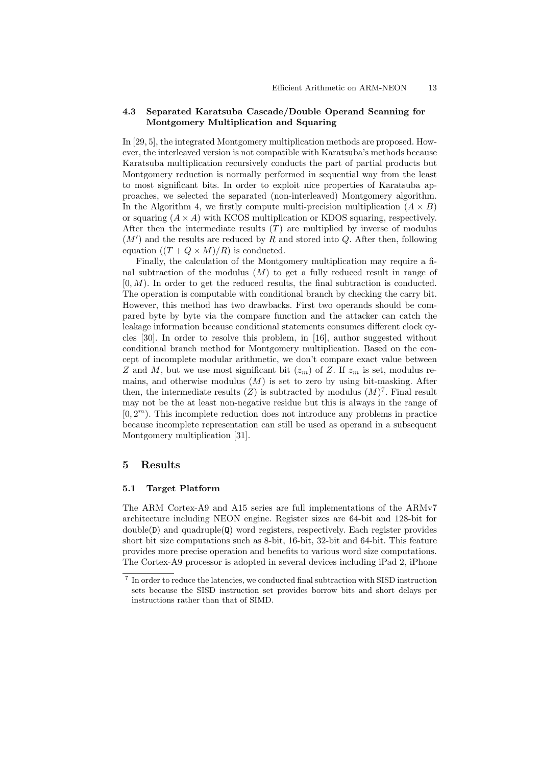#### **4.3 Separated Karatsuba Cascade/Double Operand Scanning for Montgomery Multiplication and Squaring**

In [29, 5], the integrated Montgomery multiplication methods are proposed. However, the interleaved version is not compatible with Karatsuba's methods because Karatsuba multiplication recursively conducts the part of partial products but Montgomery reduction is normally performed in sequential way from the least to most significant bits. In order to exploit nice properties of Karatsuba approaches, we selected the separated (non-interleaved) Montgomery algorithm. In the Algorithm 4, we firstly compute multi-precision multiplication  $(A \times B)$ or squaring (*A × A*) with KCOS multiplication or KDOS squaring, respectively. After then the intermediate results (*T*) are multiplied by inverse of modulus (*M′* ) and the results are reduced by *R* and stored into *Q*. After then, following equation  $((T + Q \times M)/R)$  is conducted.

Finally, the calculation of the Montgomery multiplication may require a final subtraction of the modulus (*M*) to get a fully reduced result in range of [0*, M*). In order to get the reduced results, the final subtraction is conducted. The operation is computable with conditional branch by checking the carry bit. However, this method has two drawbacks. First two operands should be compared byte by byte via the compare function and the attacker can catch the leakage information because conditional statements consumes different clock cycles [30]. In order to resolve this problem, in [16], author suggested without conditional branch method for Montgomery multiplication. Based on the concept of incomplete modular arithmetic, we don't compare exact value between *Z* and *M*, but we use most significant bit  $(z_m)$  of *Z*. If  $z_m$  is set, modulus remains, and otherwise modulus (*M*) is set to zero by using bit-masking. After then, the intermediate results  $(Z)$  is subtracted by modulus  $(M)^7$ . Final result may not be the at least non-negative residue but this is always in the range of  $[0, 2<sup>m</sup>)$ . This incomplete reduction does not introduce any problems in practice because incomplete representation can still be used as operand in a subsequent Montgomery multiplication [31].

## **5 Results**

#### **5.1 Target Platform**

The ARM Cortex-A9 and A15 series are full implementations of the ARMv7 architecture including NEON engine. Register sizes are 64-bit and 128-bit for  $\text{double}(D)$  and quadruple $(Q)$  word registers, respectively. Each register provides short bit size computations such as 8-bit, 16-bit, 32-bit and 64-bit. This feature provides more precise operation and benefits to various word size computations. The Cortex-A9 processor is adopted in several devices including iPad 2, iPhone

<sup>&</sup>lt;sup>7</sup> In order to reduce the latencies, we conducted final subtraction with SISD instruction sets because the SISD instruction set provides borrow bits and short delays per instructions rather than that of SIMD.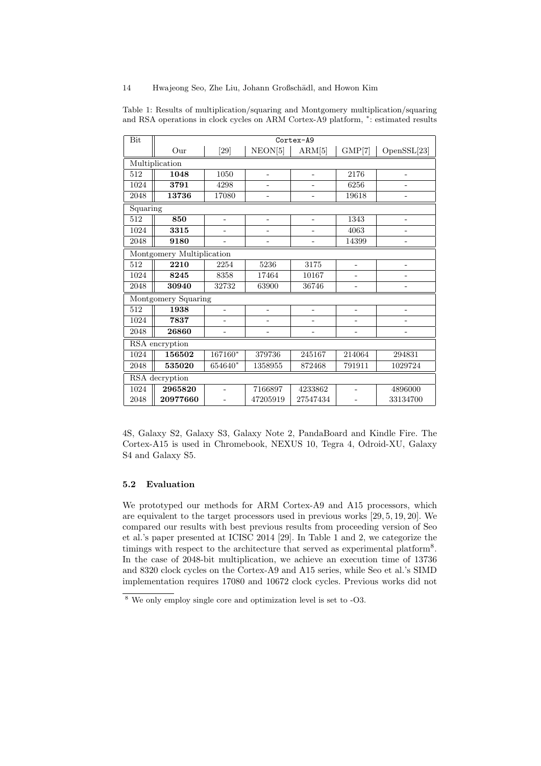## 14 Hwajeong Seo, Zhe Liu, Johann Großschädl, and Howon Kim

| Bit            | Cortex-A9                        |                          |                |                          |                |                          |  |  |
|----------------|----------------------------------|--------------------------|----------------|--------------------------|----------------|--------------------------|--|--|
|                | $_{\rm Our}$                     | [29]                     | NEON[5]        | ARM[5]                   |                | OpenSSL[23]              |  |  |
| Multiplication |                                  |                          |                |                          |                |                          |  |  |
| 512            | 1048                             | 1050                     | ÷              |                          | 2176           | ÷                        |  |  |
| 1024           | 3791                             | 4298                     |                |                          | 6256           |                          |  |  |
| 2048           | 13736                            | 17080                    |                |                          | 19618          |                          |  |  |
| Squaring       |                                  |                          |                |                          |                |                          |  |  |
| 512            | 850                              | $\overline{\phantom{0}}$ | ÷              | $\overline{\phantom{0}}$ | 1343           | $\overline{\phantom{0}}$ |  |  |
| 1024           | 3315                             | -                        | ۰              | $\overline{\phantom{0}}$ | 4063           | $\qquad \qquad -$        |  |  |
| $\,2048$       | 9180                             |                          |                |                          | 14399          | -                        |  |  |
|                | Montgomery Multiplication        |                          |                |                          |                |                          |  |  |
| 512            | 2210                             | 2254                     | 5236           | 3175                     | $\overline{a}$ | $\overline{a}$           |  |  |
| 1024           | 8245                             | 8358                     | 17464          | 10167                    |                |                          |  |  |
| 2048           | 30940                            | 32732                    | 63900          | 36746                    |                |                          |  |  |
|                | Montgomery Squaring              |                          |                |                          |                |                          |  |  |
| 512            | 1938<br>$\overline{\phantom{0}}$ |                          | ÷              | -                        | ÷,             | $\overline{a}$           |  |  |
| 1024           | 7837                             | -                        | -              |                          |                |                          |  |  |
| 2048           | 26860                            | -                        | $\overline{a}$ | ۳                        | $\overline{a}$ |                          |  |  |
| RSA encryption |                                  |                          |                |                          |                |                          |  |  |
| 1024           | 156502                           | 167160*                  | 379736         | 245167                   | 214064         | 294831                   |  |  |
| 2048           | 535020                           | 654640*                  | 1358955        | 872468                   | 791911         | 1029724                  |  |  |
| RSA decryption |                                  |                          |                |                          |                |                          |  |  |
| 1024           | 2965820                          |                          | 7166897        | 4233862                  |                | 4896000                  |  |  |
| 2048           | 20977660                         |                          | 47205919       | 27547434                 |                | 33134700                 |  |  |

Table 1: Results of multiplication/squaring and Montgomery multiplication/squaring and RSA operations in clock cycles on ARM Cortex-A9 platform, *<sup>∗</sup>* : estimated results

4S, Galaxy S2, Galaxy S3, Galaxy Note 2, PandaBoard and Kindle Fire. The Cortex-A15 is used in Chromebook, NEXUS 10, Tegra 4, Odroid-XU, Galaxy S4 and Galaxy S5.

#### **5.2 Evaluation**

We prototyped our methods for ARM Cortex-A9 and A15 processors, which are equivalent to the target processors used in previous works [29, 5, 19, 20]. We compared our results with best previous results from proceeding version of Seo et al.'s paper presented at ICISC 2014 [29]. In Table 1 and 2, we categorize the timings with respect to the architecture that served as experimental platform<sup>8</sup>. In the case of 2048-bit multiplication, we achieve an execution time of 13736 and 8320 clock cycles on the Cortex-A9 and A15 series, while Seo et al.'s SIMD implementation requires 17080 and 10672 clock cycles. Previous works did not

 $8$  We only employ single core and optimization level is set to -O3.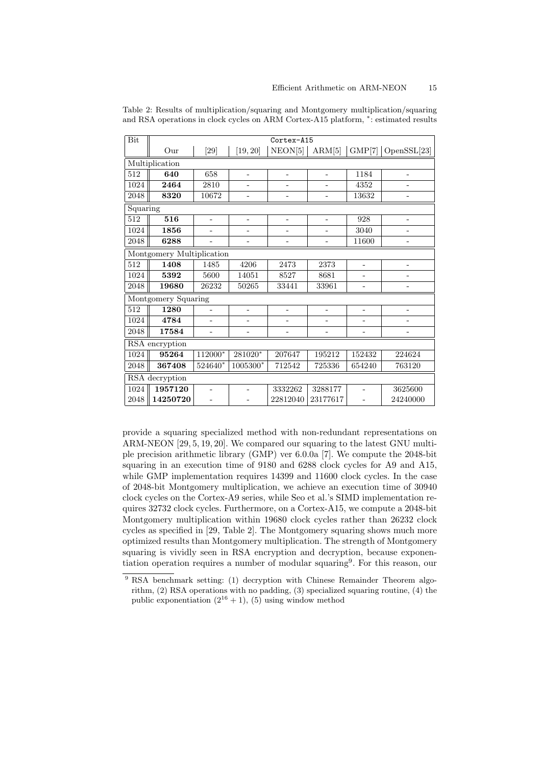| Bit            | Cortex-A15                |                          |                          |                          |                          |                          |                   |
|----------------|---------------------------|--------------------------|--------------------------|--------------------------|--------------------------|--------------------------|-------------------|
|                | Our                       | [29]                     | [19, 20]                 | NEON[5]                  | ARM[5]                   | GMP[7]                   | OpenSSL[23]       |
| Multiplication |                           |                          |                          |                          |                          |                          |                   |
| 512            | 640                       | 658                      |                          | $\overline{a}$           | $\qquad \qquad -$        | 1184                     |                   |
| 1024           | 2464                      | 2810                     |                          |                          |                          | 4352                     |                   |
| 2048           | 8320                      | 10672                    |                          |                          | $\qquad \qquad -$        | 13632                    | $\overline{a}$    |
| Squaring       |                           |                          |                          |                          |                          |                          |                   |
| 512            | 516                       | $\overline{a}$           | ÷.                       | $\overline{\phantom{a}}$ | $\qquad \qquad -$        | 928                      | $\overline{a}$    |
| 1024           | 1856                      |                          |                          | $\overline{\phantom{0}}$ | $\overline{a}$           | 3040                     | $\overline{a}$    |
| 2048           | 6288                      |                          |                          |                          |                          | 11600                    | $\overline{a}$    |
|                | Montgomery Multiplication |                          |                          |                          |                          |                          |                   |
| 512            | 1408                      | 1485                     | 4206                     | 2473                     | 2373                     | -                        |                   |
| 1024           | 5392                      | 5600                     | 14051                    | 8527                     | 8681                     |                          |                   |
| 2048           | 19680                     | 26232                    | 50265                    | 33441                    | 33961                    |                          |                   |
|                | Montgomery Squaring       |                          |                          |                          |                          |                          |                   |
| 512            | 1280                      | -                        | $\overline{\phantom{0}}$ | $\overline{\phantom{0}}$ | $\overline{\phantom{0}}$ | $\overline{\phantom{m}}$ | -                 |
| 1024           | 4784                      | $\overline{\phantom{0}}$ |                          |                          | $\qquad \qquad -$        | -                        | -                 |
| 2048           | 17584                     | $\overline{\phantom{0}}$ | ۳                        | $\qquad \qquad -$        | $\qquad \qquad -$        | $\overline{a}$           | $\qquad \qquad -$ |
| RSA encryption |                           |                          |                          |                          |                          |                          |                   |
| 1024           | 95264                     | 112000*                  | 281020*                  | 207647                   | 195212                   | 152432                   | 224624            |
| 2048           | 367408                    | 524640*                  | 1005300*                 | 712542                   | 725336                   | 654240                   | 763120            |
| RSA decryption |                           |                          |                          |                          |                          |                          |                   |
| 1024           | 1957120                   |                          |                          | 3332262                  | 3288177                  |                          | 3625600           |
| 2048           | 14250720                  |                          |                          | 22812040                 | 23177617                 |                          | 24240000          |

Table 2: Results of multiplication/squaring and Montgomery multiplication/squaring and RSA operations in clock cycles on ARM Cortex-A15 platform, *<sup>∗</sup>* : estimated results

provide a squaring specialized method with non-redundant representations on ARM-NEON [29, 5, 19, 20]. We compared our squaring to the latest GNU multiple precision arithmetic library (GMP) ver 6.0.0a [7]. We compute the 2048-bit squaring in an execution time of 9180 and 6288 clock cycles for A9 and A15. while GMP implementation requires 14399 and 11600 clock cycles. In the case of 2048-bit Montgomery multiplication, we achieve an execution time of 30940 clock cycles on the Cortex-A9 series, while Seo et al.'s SIMD implementation requires 32732 clock cycles. Furthermore, on a Cortex-A15, we compute a 2048-bit Montgomery multiplication within 19680 clock cycles rather than 26232 clock cycles as specified in [29, Table 2]. The Montgomery squaring shows much more optimized results than Montgomery multiplication. The strength of Montgomery squaring is vividly seen in RSA encryption and decryption, because exponentiation operation requires a number of modular squaring<sup>9</sup> . For this reason, our

<sup>&</sup>lt;sup>9</sup> RSA benchmark setting: (1) decryption with Chinese Remainder Theorem algorithm, (2) RSA operations with no padding, (3) specialized squaring routine, (4) the public exponentiation  $(2^{16} + 1)$ , (5) using window method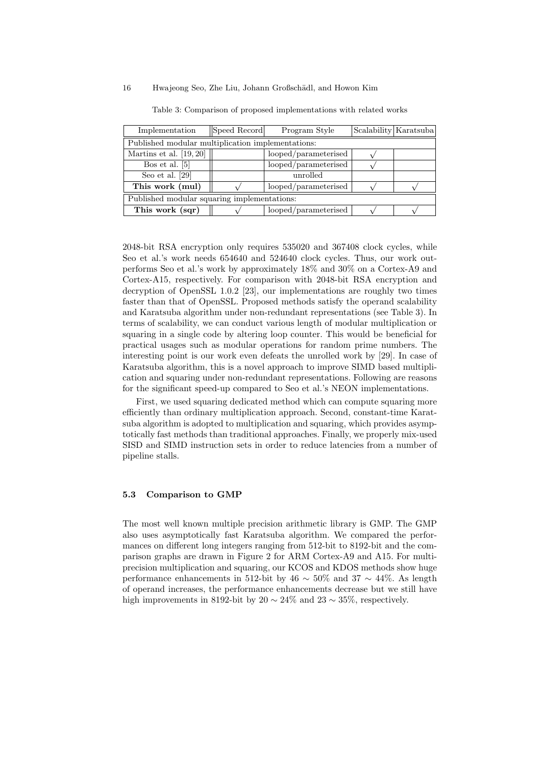## 16 Hwajeong Seo, Zhe Liu, Johann Großschädl, and Howon Kim

| Implementation                                    | Speed Record | Program Style        |  | Scalability   Karatsuba |  |  |  |  |
|---------------------------------------------------|--------------|----------------------|--|-------------------------|--|--|--|--|
| Published modular multiplication implementations: |              |                      |  |                         |  |  |  |  |
| Martins et al. $[19, 20]$                         |              | looped/parameterised |  |                         |  |  |  |  |
| Bos et al. $[5]$                                  |              | looped/parameterised |  |                         |  |  |  |  |
| Seo et al. $[29]$                                 |              | unrolled             |  |                         |  |  |  |  |
| This work (mul)                                   |              | looped/parameterised |  |                         |  |  |  |  |
| Published modular squaring implementations:       |              |                      |  |                         |  |  |  |  |
| This work (sqr)                                   |              | looped/parameterised |  |                         |  |  |  |  |

Table 3: Comparison of proposed implementations with related works

2048-bit RSA encryption only requires 535020 and 367408 clock cycles, while Seo et al.'s work needs 654640 and 524640 clock cycles. Thus, our work outperforms Seo et al.'s work by approximately 18% and 30% on a Cortex-A9 and Cortex-A15, respectively. For comparison with 2048-bit RSA encryption and decryption of OpenSSL 1.0.2 [23], our implementations are roughly two times faster than that of OpenSSL. Proposed methods satisfy the operand scalability and Karatsuba algorithm under non-redundant representations (see Table 3). In terms of scalability, we can conduct various length of modular multiplication or squaring in a single code by altering loop counter. This would be beneficial for practical usages such as modular operations for random prime numbers. The interesting point is our work even defeats the unrolled work by [29]. In case of Karatsuba algorithm, this is a novel approach to improve SIMD based multiplication and squaring under non-redundant representations. Following are reasons for the significant speed-up compared to Seo et al.'s NEON implementations.

First, we used squaring dedicated method which can compute squaring more efficiently than ordinary multiplication approach. Second, constant-time Karatsuba algorithm is adopted to multiplication and squaring, which provides asymptotically fast methods than traditional approaches. Finally, we properly mix-used SISD and SIMD instruction sets in order to reduce latencies from a number of pipeline stalls.

#### **5.3 Comparison to GMP**

The most well known multiple precision arithmetic library is GMP. The GMP also uses asymptotically fast Karatsuba algorithm. We compared the performances on different long integers ranging from 512-bit to 8192-bit and the comparison graphs are drawn in Figure 2 for ARM Cortex-A9 and A15. For multiprecision multiplication and squaring, our KCOS and KDOS methods show huge performance enhancements in 512-bit by  $46 \sim 50\%$  and  $37 \sim 44\%$ . As length of operand increases, the performance enhancements decrease but we still have high improvements in 8192-bit by  $20 \sim 24\%$  and  $23 \sim 35\%$ , respectively.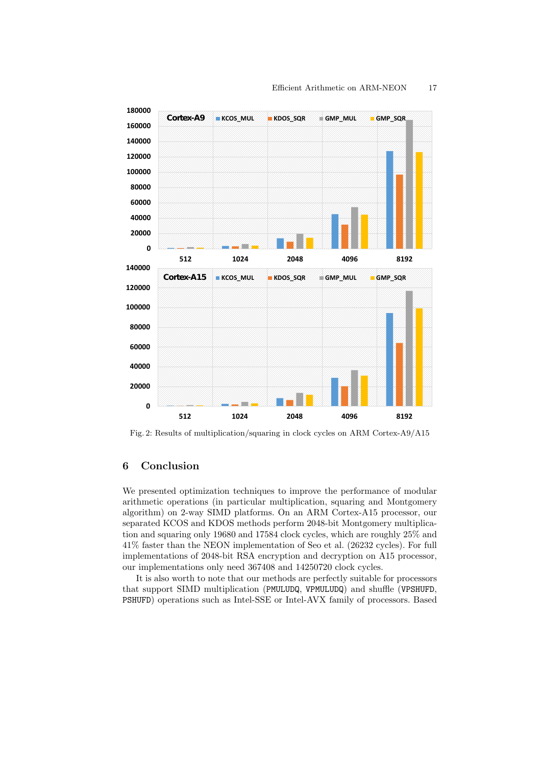

Fig. 2: Results of multiplication/squaring in clock cycles on ARM Cortex-A9/A15

# **6 Conclusion**

We presented optimization techniques to improve the performance of modular arithmetic operations (in particular multiplication, squaring and Montgomery algorithm) on 2-way SIMD platforms. On an ARM Cortex-A15 processor, our separated KCOS and KDOS methods perform 2048-bit Montgomery multiplication and squaring only 19680 and 17584 clock cycles, which are roughly 25% and 41% faster than the NEON implementation of Seo et al. (26232 cycles). For full implementations of 2048-bit RSA encryption and decryption on A15 processor, our implementations only need 367408 and 14250720 clock cycles.

It is also worth to note that our methods are perfectly suitable for processors that support SIMD multiplication (PMULUDQ, VPMULUDQ) and shuffle (VPSHUFD, PSHUFD) operations such as Intel-SSE or Intel-AVX family of processors. Based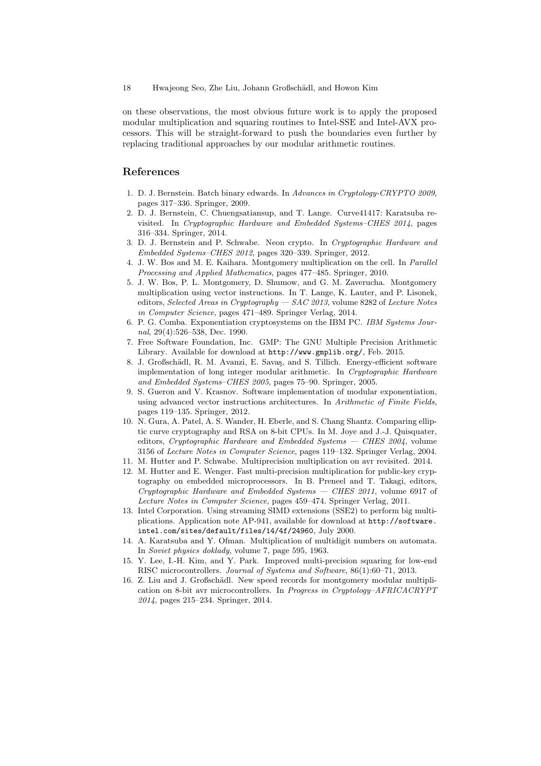on these observations, the most obvious future work is to apply the proposed modular multiplication and squaring routines to Intel-SSE and Intel-AVX processors. This will be straight-forward to push the boundaries even further by replacing traditional approaches by our modular arithmetic routines.

## **References**

- 1. D. J. Bernstein. Batch binary edwards. In *Advances in Cryptology-CRYPTO 2009*, pages 317–336. Springer, 2009.
- 2. D. J. Bernstein, C. Chuengsatiansup, and T. Lange. Curve41417: Karatsuba revisited. In *Cryptographic Hardware and Embedded Systems–CHES 2014*, pages 316–334. Springer, 2014.
- 3. D. J. Bernstein and P. Schwabe. Neon crypto. In *Cryptographic Hardware and Embedded Systems–CHES 2012*, pages 320–339. Springer, 2012.
- 4. J. W. Bos and M. E. Kaihara. Montgomery multiplication on the cell. In *Parallel Processing and Applied Mathematics*, pages 477–485. Springer, 2010.
- 5. J. W. Bos, P. L. Montgomery, D. Shumow, and G. M. Zaverucha. Montgomery multiplication using vector instructions. In T. Lange, K. Lauter, and P. Lisonek, editors, *Selected Areas in Cryptography — SAC 2013*, volume 8282 of *Lecture Notes in Computer Science*, pages 471–489. Springer Verlag, 2014.
- 6. P. G. Comba. Exponentiation cryptosystems on the IBM PC. *IBM Systems Journal*, 29(4):526–538, Dec. 1990.
- 7. Free Software Foundation, Inc. GMP: The GNU Multiple Precision Arithmetic Library. Available for download at http://www.gmplib.org/, Feb. 2015.
- 8. J. Großschädl, R. M. Avanzi, E. Savaş, and S. Tillich. Energy-efficient software implementation of long integer modular arithmetic. In *Cryptographic Hardware and Embedded Systems–CHES 2005*, pages 75–90. Springer, 2005.
- 9. S. Gueron and V. Krasnov. Software implementation of modular exponentiation, using advanced vector instructions architectures. In *Arithmetic of Finite Fields*, pages 119–135. Springer, 2012.
- 10. N. Gura, A. Patel, A. S. Wander, H. Eberle, and S. Chang Shantz. Comparing elliptic curve cryptography and RSA on 8-bit CPUs. In M. Joye and J.-J. Quisquater, editors, *Cryptographic Hardware and Embedded Systems — CHES 2004*, volume 3156 of *Lecture Notes in Computer Science*, pages 119–132. Springer Verlag, 2004.
- 11. M. Hutter and P. Schwabe. Multiprecision multiplication on avr revisited. 2014.
- 12. M. Hutter and E. Wenger. Fast multi-precision multiplication for public-key cryptography on embedded microprocessors. In B. Preneel and T. Takagi, editors, *Cryptographic Hardware and Embedded Systems — CHES 2011*, volume 6917 of *Lecture Notes in Computer Science*, pages 459–474. Springer Verlag, 2011.
- 13. Intel Corporation. Using streaming SIMD extensions (SSE2) to perform big multiplications. Application note AP-941, available for download at http://software. intel.com/sites/default/files/14/4f/24960, July 2000.
- 14. A. Karatsuba and Y. Ofman. Multiplication of multidigit numbers on automata. In *Soviet physics doklady*, volume 7, page 595, 1963.
- 15. Y. Lee, I.-H. Kim, and Y. Park. Improved multi-precision squaring for low-end RISC microcontrollers. *Journal of Systems and Software*, 86(1):60–71, 2013.
- 16. Z. Liu and J. Großschädl. New speed records for montgomery modular multiplication on 8-bit avr microcontrollers. In *Progress in Cryptology–AFRICACRYPT 2014*, pages 215–234. Springer, 2014.